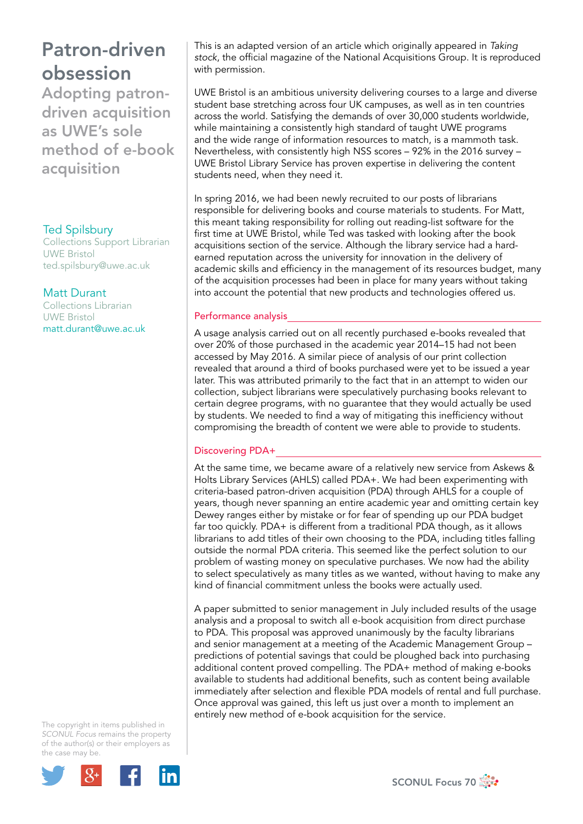# Patron-driven obsession

Adopting patrondriven acquisition as UWE's sole method of e-book acquisition

### Ted Spilsbury

Collections Support Librarian UWE Bristol ted.spilsbury@uwe.ac.uk

### Matt Durant

Collections Librarian UWE Bristol matt.durant@uwe.ac.uk

The copyright in items published in *SCONUL Focus* remains the property of the author(s) or their employers as the case may be.



This is an adapted version of an article which originally appeared in *Taking stock*, the official magazine of the National Acquisitions Group. It is reproduced with permission.

UWE Bristol is an ambitious university delivering courses to a large and diverse student base stretching across four UK campuses, as well as in ten countries across the world. Satisfying the demands of over 30,000 students worldwide, while maintaining a consistently high standard of taught UWE programs and the wide range of information resources to match, is a mammoth task. Nevertheless, with consistently high NSS scores – 92% in the 2016 survey – UWE Bristol Library Service has proven expertise in delivering the content students need, when they need it.

In spring 2016, we had been newly recruited to our posts of librarians responsible for delivering books and course materials to students. For Matt, this meant taking responsibility for rolling out reading-list software for the first time at UWE Bristol, while Ted was tasked with looking after the book acquisitions section of the service. Although the library service had a hardearned reputation across the university for innovation in the delivery of academic skills and efficiency in the management of its resources budget, many of the acquisition processes had been in place for many years without taking into account the potential that new products and technologies offered us.

#### Performance analysis

A usage analysis carried out on all recently purchased e-books revealed that over 20% of those purchased in the academic year 2014–15 had not been accessed by May 2016. A similar piece of analysis of our print collection revealed that around a third of books purchased were yet to be issued a year later. This was attributed primarily to the fact that in an attempt to widen our collection, subject librarians were speculatively purchasing books relevant to certain degree programs, with no guarantee that they would actually be used by students. We needed to find a way of mitigating this inefficiency without compromising the breadth of content we were able to provide to students.

## Discovering PDA+

At the same time, we became aware of a relatively new service from Askews & Holts Library Services (AHLS) called PDA+. We had been experimenting with criteria-based patron-driven acquisition (PDA) through AHLS for a couple of years, though never spanning an entire academic year and omitting certain key Dewey ranges either by mistake or for fear of spending up our PDA budget far too quickly. PDA+ is different from a traditional PDA though, as it allows librarians to add titles of their own choosing to the PDA, including titles falling outside the normal PDA criteria. This seemed like the perfect solution to our problem of wasting money on speculative purchases. We now had the ability to select speculatively as many titles as we wanted, without having to make any kind of financial commitment unless the books were actually used.

A paper submitted to senior management in July included results of the usage analysis and a proposal to switch all e-book acquisition from direct purchase to PDA. This proposal was approved unanimously by the faculty librarians and senior management at a meeting of the Academic Management Group – predictions of potential savings that could be ploughed back into purchasing additional content proved compelling. The PDA+ method of making e-books available to students had additional benefits, such as content being available immediately after selection and flexible PDA models of rental and full purchase. Once approval was gained, this left us just over a month to implement an entirely new method of e-book acquisition for the service.